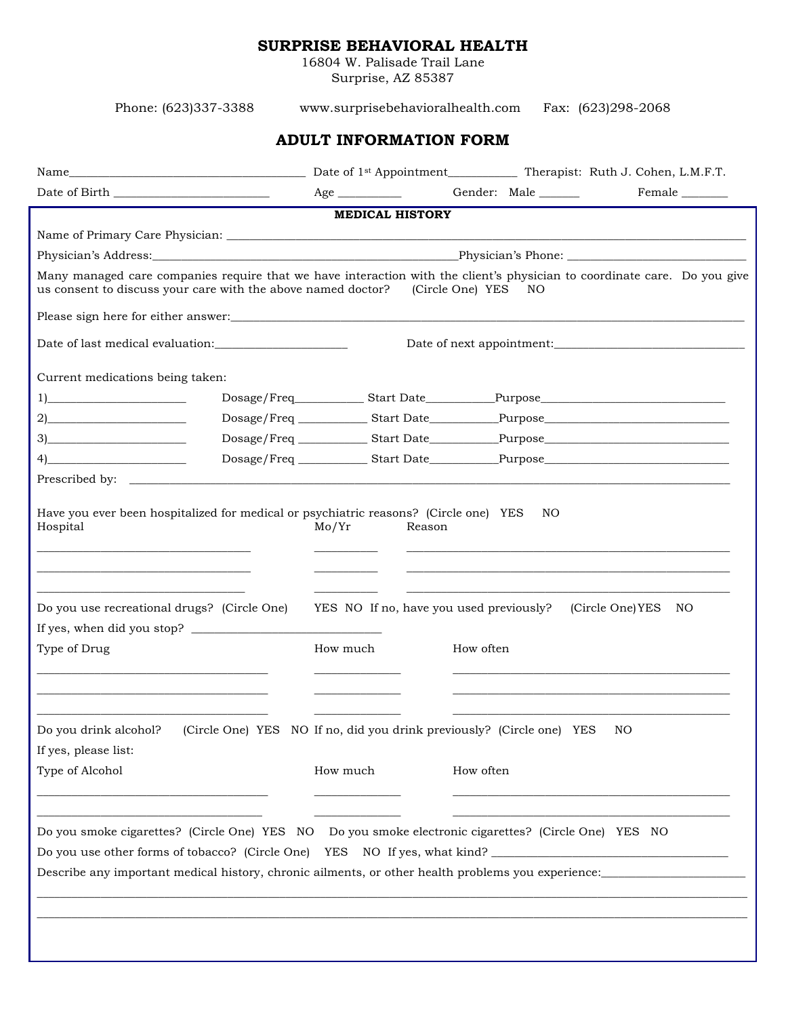## **SURPRISE BEHAVIORAL HEALTH**

16804 W. Palisade Trail Lane Surprise, AZ 85387

Phone: (623)337-3388 www.surprisebehavioralhealth.com Fax: (623)298-2068 **ADULT INFORMATION FORM** Name Date of 1<sup>st</sup> Appointment Therapist: Ruth J. Cohen, L.M.F.T. Date of Birth \_\_\_\_\_\_\_\_\_\_\_\_\_\_\_\_\_\_\_\_\_\_\_\_\_\_\_ Age \_\_\_\_\_\_\_\_\_\_\_ Gender: Male \_\_\_\_\_\_\_ Female \_\_\_\_\_\_\_\_ **MEDICAL HISTORY** Name of Primary Care Physician: \_\_\_\_\_\_\_\_\_\_\_\_\_\_\_\_\_\_\_\_\_\_\_\_\_\_\_\_\_\_\_\_\_\_\_\_\_\_\_\_\_\_\_\_\_\_\_\_\_\_\_\_\_\_\_\_\_\_\_\_\_\_\_\_\_\_\_\_\_\_\_\_\_\_\_\_\_\_\_\_\_\_\_\_\_\_\_\_\_\_ Physician's Address:\_\_\_\_\_\_\_\_\_\_\_\_\_\_\_\_\_\_\_\_\_\_\_\_\_\_\_\_\_\_\_\_\_\_\_\_\_\_\_\_\_\_\_\_\_\_\_\_\_\_\_\_\_Physician's Phone: \_\_\_\_\_\_\_\_\_\_\_\_\_\_\_\_\_\_\_\_\_\_\_\_\_\_\_\_\_\_\_ Many managed care companies require that we have interaction with the client's physician to coordinate care. Do you give us consent to discuss your care with the above named doctor? (Circle One) YES NO Please sign here for either answer:\_\_\_\_\_\_\_\_\_\_\_\_\_\_\_\_\_\_\_\_\_\_\_\_\_\_\_\_\_\_\_\_\_\_\_\_\_\_\_\_\_\_\_\_\_\_\_\_\_\_\_\_\_\_\_\_\_\_\_\_\_\_\_\_\_\_\_\_\_\_\_\_\_\_\_\_\_\_\_\_\_\_\_\_\_\_\_\_\_ Date of last medical evaluation:\_\_\_\_\_\_\_\_\_\_\_\_\_\_\_\_\_\_\_\_\_\_\_ Date of next appointment:\_\_\_\_\_\_\_\_\_\_\_\_\_\_\_\_\_\_\_\_\_\_\_\_\_\_\_\_\_\_\_\_\_ Current medications being taken: 1)\_\_\_\_\_\_\_\_\_\_\_\_\_\_\_\_\_\_\_\_\_\_\_\_ Dosage/Freq\_\_\_\_\_\_\_\_\_\_\_\_ Start Date\_\_\_\_\_\_\_\_\_\_\_\_Purpose\_\_\_\_\_\_\_\_\_\_\_\_\_\_\_\_\_\_\_\_\_\_\_\_\_\_\_\_\_\_\_\_ 2)\_\_\_\_\_\_\_\_\_\_\_\_\_\_\_\_\_\_\_\_\_\_\_\_ Dosage/Freq \_\_\_\_\_\_\_\_\_\_\_\_ Start Date\_\_\_\_\_\_\_\_\_\_\_\_Purpose\_\_\_\_\_\_\_\_\_\_\_\_\_\_\_\_\_\_\_\_\_\_\_\_\_\_\_\_\_\_\_\_ 3)\_\_\_\_\_\_\_\_\_\_\_\_\_\_\_\_\_\_\_\_\_\_\_\_ Dosage/Freq \_\_\_\_\_\_\_\_\_\_\_\_ Start Date\_\_\_\_\_\_\_\_\_\_\_\_Purpose\_\_\_\_\_\_\_\_\_\_\_\_\_\_\_\_\_\_\_\_\_\_\_\_\_\_\_\_\_\_\_\_ 4)\_\_\_\_\_\_\_\_\_\_\_\_\_\_\_\_\_\_\_\_\_\_\_\_ Dosage/Freq \_\_\_\_\_\_\_\_\_\_\_\_ Start Date\_\_\_\_\_\_\_\_\_\_\_\_Purpose\_\_\_\_\_\_\_\_\_\_\_\_\_\_\_\_\_\_\_\_\_\_\_\_\_\_\_\_\_\_\_\_ Prescribed by: Have you ever been hospitalized for medical or psychiatric reasons? (Circle one) YES NO Hospital Mo/Yr Reason \_\_\_\_\_\_\_\_\_\_\_\_\_\_\_\_\_\_\_\_\_\_\_\_\_\_\_\_\_\_\_\_\_\_\_\_\_ \_\_\_\_\_\_\_\_\_\_\_ \_\_\_\_\_\_\_\_\_\_\_\_\_\_\_\_\_\_\_\_\_\_\_\_\_\_\_\_\_\_\_\_\_\_\_\_\_\_\_\_\_\_\_\_\_\_\_\_\_\_\_\_\_\_\_\_ \_\_\_\_\_\_\_\_\_\_\_\_\_\_\_\_\_\_\_\_\_\_\_\_\_\_\_\_\_\_\_\_\_\_\_\_\_ \_\_\_\_\_\_\_\_\_\_\_ \_\_\_\_\_\_\_\_\_\_\_\_\_\_\_\_\_\_\_\_\_\_\_\_\_\_\_\_\_\_\_\_\_\_\_\_\_\_\_\_\_\_\_\_\_\_\_\_\_\_\_\_\_\_\_\_ \_\_\_\_\_\_\_\_\_\_\_\_\_\_\_\_\_\_\_\_\_\_\_\_\_\_\_\_\_\_\_\_\_\_\_\_ \_\_\_\_\_\_\_\_\_\_\_ \_\_\_\_\_\_\_\_\_\_\_\_\_\_\_\_\_\_\_\_\_\_\_\_\_\_\_\_\_\_\_\_\_\_\_\_\_\_\_\_\_\_\_\_\_\_\_\_\_\_\_\_\_\_\_\_ Do you use recreational drugs? (Circle One) YES NO If no, have you used previously? (Circle One)YES NO If yes, when did you stop? \_\_\_\_\_\_\_\_\_\_\_\_\_\_\_\_\_\_\_\_\_\_\_\_\_\_\_\_\_\_\_\_\_ Type of Drug How much How much How often \_\_\_\_\_\_\_\_\_\_\_\_\_\_\_\_\_\_\_\_\_\_\_\_\_\_\_\_\_\_\_\_\_\_\_\_\_\_\_\_ \_\_\_\_\_\_\_\_\_\_\_\_\_\_\_ \_\_\_\_\_\_\_\_\_\_\_\_\_\_\_\_\_\_\_\_\_\_\_\_\_\_\_\_\_\_\_\_\_\_\_\_\_\_\_\_\_\_\_\_\_\_\_\_ \_\_\_\_\_\_\_\_\_\_\_\_\_\_\_\_\_\_\_\_\_\_\_\_\_\_\_\_\_\_\_\_\_\_\_\_\_\_\_\_ \_\_\_\_\_\_\_\_\_\_\_\_\_\_\_ \_\_\_\_\_\_\_\_\_\_\_\_\_\_\_\_\_\_\_\_\_\_\_\_\_\_\_\_\_\_\_\_\_\_\_\_\_\_\_\_\_\_\_\_\_\_\_\_ \_\_\_\_\_\_\_\_\_\_\_\_\_\_\_\_\_\_\_\_\_\_\_\_\_\_\_\_\_\_\_\_\_\_\_\_\_\_\_\_ \_\_\_\_\_\_\_\_\_\_\_\_\_\_\_ \_\_\_\_\_\_\_\_\_\_\_\_\_\_\_\_\_\_\_\_\_\_\_\_\_\_\_\_\_\_\_\_\_\_\_\_\_\_\_\_\_\_\_\_\_\_\_\_ Do you drink alcohol? (Circle One) YES NO If no, did you drink previously? (Circle one) YES NO If yes, please list: Type of Alcohol **How much** How much How often \_\_\_\_\_\_\_\_\_\_\_\_\_\_\_\_\_\_\_\_\_\_\_\_\_\_\_\_\_\_\_\_\_\_\_\_\_\_\_\_ \_\_\_\_\_\_\_\_\_\_\_\_\_\_\_ \_\_\_\_\_\_\_\_\_\_\_\_\_\_\_\_\_\_\_\_\_\_\_\_\_\_\_\_\_\_\_\_\_\_\_\_\_\_\_\_\_\_\_\_\_\_\_\_ \_\_\_\_\_\_\_\_\_\_\_\_\_\_\_\_\_\_\_\_\_\_\_\_\_\_\_\_\_\_\_\_\_\_\_\_\_\_\_ \_\_\_\_\_\_\_\_\_\_\_\_\_\_\_ \_\_\_\_\_\_\_\_\_\_\_\_\_\_\_\_\_\_\_\_\_\_\_\_\_\_\_\_\_\_\_\_\_\_\_\_\_\_\_\_\_\_\_\_\_\_\_\_ Do you smoke cigarettes? (Circle One) YES NO Do you smoke electronic cigarettes? (Circle One) YES NO Do you use other forms of tobacco? (Circle One) YES NO If yes, what kind? Describe any important medical history, chronic ailments, or other health problems you experience: \_\_\_\_\_\_\_\_\_\_\_\_\_\_\_\_\_\_\_\_\_\_\_\_\_\_\_\_\_\_\_\_\_\_\_\_\_\_\_\_\_\_\_\_\_\_\_\_\_\_\_\_\_\_\_\_\_\_\_\_\_\_\_\_\_\_\_\_\_\_\_\_\_\_\_\_\_\_\_\_\_\_\_\_\_\_\_\_\_\_\_\_\_\_\_\_\_\_\_\_\_\_\_\_\_\_\_\_\_\_\_\_\_\_\_\_\_\_\_\_\_\_\_ \_\_\_\_\_\_\_\_\_\_\_\_\_\_\_\_\_\_\_\_\_\_\_\_\_\_\_\_\_\_\_\_\_\_\_\_\_\_\_\_\_\_\_\_\_\_\_\_\_\_\_\_\_\_\_\_\_\_\_\_\_\_\_\_\_\_\_\_\_\_\_\_\_\_\_\_\_\_\_\_\_\_\_\_\_\_\_\_\_\_\_\_\_\_\_\_\_\_\_\_\_\_\_\_\_\_\_\_\_\_\_\_\_\_\_\_\_\_\_\_\_\_\_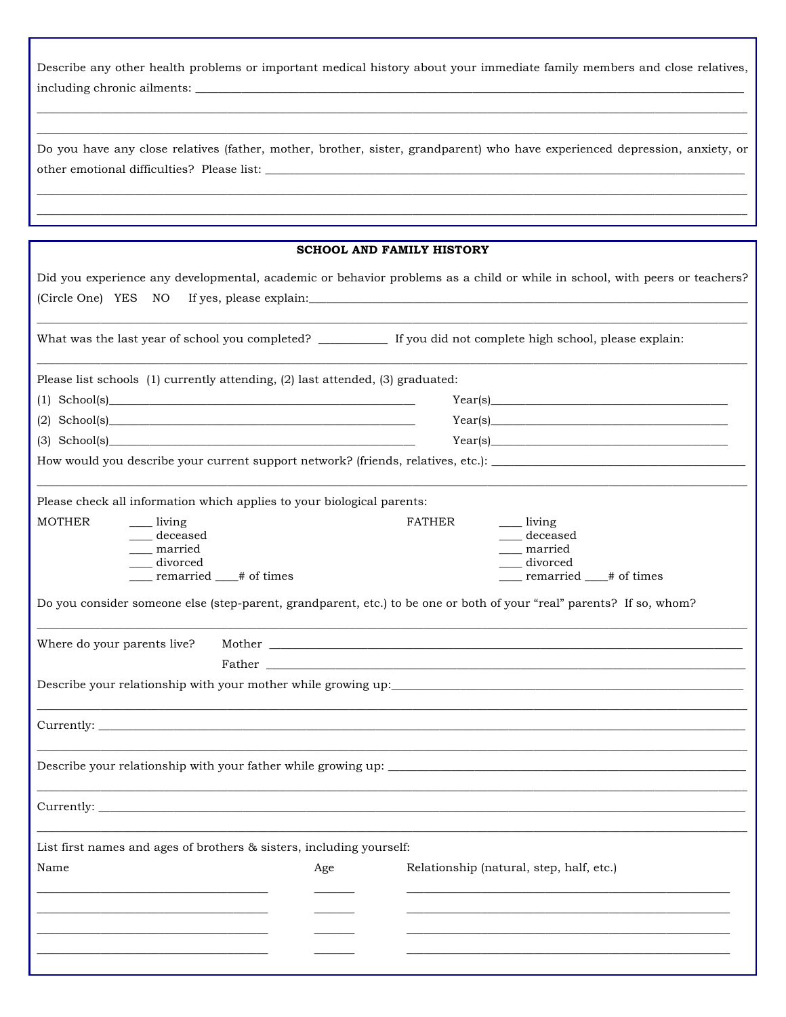| Describe any other health problems or important medical history about your immediate family members and close relatives, |  |  |
|--------------------------------------------------------------------------------------------------------------------------|--|--|
| including chronic ailments:                                                                                              |  |  |

| Do you have any close relatives (father, mother, brother, sister, grandparent) who have experienced depression, anxiety, or |  |  |  |  |  |  |
|-----------------------------------------------------------------------------------------------------------------------------|--|--|--|--|--|--|
| other emotional difficulties? Please list:                                                                                  |  |  |  |  |  |  |

|                                                                                                                                                                                                         |     | <b>SCHOOL AND FAMILY HISTORY</b> |                                                                                                                                                                                                                                |
|---------------------------------------------------------------------------------------------------------------------------------------------------------------------------------------------------------|-----|----------------------------------|--------------------------------------------------------------------------------------------------------------------------------------------------------------------------------------------------------------------------------|
| Did you experience any developmental, academic or behavior problems as a child or while in school, with peers or teachers?<br>(Circle One) YES NO<br>If yes, please explain: $\sqrt{\frac{f(x)}{f(x)}}$ |     |                                  |                                                                                                                                                                                                                                |
| What was the last year of school you completed? ___________ If you did not complete high school, please explain:                                                                                        |     |                                  |                                                                                                                                                                                                                                |
| Please list schools (1) currently attending, (2) last attended, (3) graduated:                                                                                                                          |     |                                  |                                                                                                                                                                                                                                |
| $(1)$ School(s)                                                                                                                                                                                         |     |                                  | Year(s)                                                                                                                                                                                                                        |
|                                                                                                                                                                                                         |     |                                  | Year(s)                                                                                                                                                                                                                        |
| $(3)$ School(s)                                                                                                                                                                                         |     |                                  | Year(s)                                                                                                                                                                                                                        |
| How would you describe your current support network? (friends, relatives, etc.): _____________________________                                                                                          |     |                                  |                                                                                                                                                                                                                                |
| Please check all information which applies to your biological parents:                                                                                                                                  |     |                                  |                                                                                                                                                                                                                                |
| <b>MOTHER</b><br><u>___</u> living                                                                                                                                                                      |     | <b>FATHER</b>                    | _____ living                                                                                                                                                                                                                   |
| deceased<br>__ married                                                                                                                                                                                  |     |                                  | deceased<br>married                                                                                                                                                                                                            |
| __ divorced                                                                                                                                                                                             |     |                                  | divorced                                                                                                                                                                                                                       |
| ____ remarried ___# of times                                                                                                                                                                            |     |                                  | __ remarried __# of times                                                                                                                                                                                                      |
| Do you consider someone else (step-parent, grandparent, etc.) to be one or both of your "real" parents? If so, whom?                                                                                    |     |                                  |                                                                                                                                                                                                                                |
| Where do your parents live?                                                                                                                                                                             |     |                                  |                                                                                                                                                                                                                                |
|                                                                                                                                                                                                         |     |                                  | Father and the contract of the contract of the contract of the contract of the contract of the contract of the contract of the contract of the contract of the contract of the contract of the contract of the contract of the |
|                                                                                                                                                                                                         |     |                                  |                                                                                                                                                                                                                                |
|                                                                                                                                                                                                         |     |                                  |                                                                                                                                                                                                                                |
| Describe your relationship with your father while growing up:                                                                                                                                           |     |                                  |                                                                                                                                                                                                                                |
| Currently:                                                                                                                                                                                              |     |                                  |                                                                                                                                                                                                                                |
| List first names and ages of brothers & sisters, including yourself:                                                                                                                                    |     |                                  |                                                                                                                                                                                                                                |
| Name                                                                                                                                                                                                    | Age |                                  | Relationship (natural, step, half, etc.)                                                                                                                                                                                       |
|                                                                                                                                                                                                         |     |                                  |                                                                                                                                                                                                                                |
|                                                                                                                                                                                                         |     |                                  |                                                                                                                                                                                                                                |
|                                                                                                                                                                                                         |     |                                  |                                                                                                                                                                                                                                |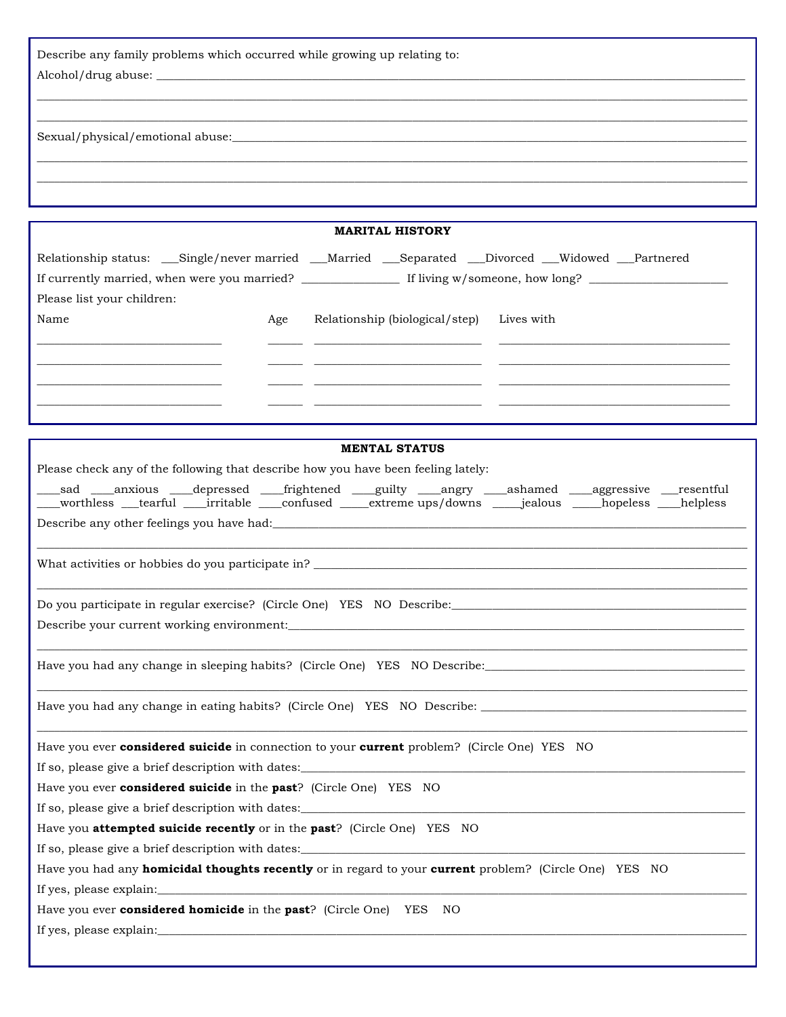Describe any family problems which occurred while growing up relating to:  $\rm Alcohol/drug\; abuse:$   $\_$ 

Sexual/physical/emotional abuse:

|                            |     | <b>MARITAL HISTORY</b>         |                                                                                                    |  |
|----------------------------|-----|--------------------------------|----------------------------------------------------------------------------------------------------|--|
|                            |     |                                | Relationship status: __Single/never married __Married __Separated __Divorced __Widowed __Partnered |  |
|                            |     |                                |                                                                                                    |  |
| Please list your children: |     |                                |                                                                                                    |  |
| Name                       | Age | Relationship (biological/step) | Lives with                                                                                         |  |
|                            |     |                                |                                                                                                    |  |
|                            |     |                                |                                                                                                    |  |
|                            |     |                                |                                                                                                    |  |
|                            |     |                                |                                                                                                    |  |
|                            |     |                                |                                                                                                    |  |

 $\mathcal{L} = \{ \mathcal{L} = \{ \mathcal{L} = \{ \mathcal{L} = \mathcal{L} \} \mid \mathcal{L} = \{ \mathcal{L} = \{ \mathcal{L} = \mathcal{L} \} \mid \mathcal{L} = \{ \mathcal{L} = \{ \mathcal{L} = \mathcal{L} = \mathcal{L} \} \mid \mathcal{L} = \{ \mathcal{L} = \{ \mathcal{L} = \mathcal{L} = \mathcal{L} = \mathcal{L} \} \mid \mathcal{L} = \{ \mathcal{L} = \{ \mathcal{L} = \mathcal{L} = \mathcal{L} = \mathcal{L} \} \mid \$  $\mathcal{L} = \{ \mathcal{L} = \{ \mathcal{L} = \{ \mathcal{L} = \{ \mathcal{L} = \{ \mathcal{L} = \{ \mathcal{L} = \{ \mathcal{L} = \{ \mathcal{L} = \{ \mathcal{L} = \{ \mathcal{L} = \{ \mathcal{L} = \{ \mathcal{L} = \{ \mathcal{L} = \{ \mathcal{L} = \{ \mathcal{L} = \{ \mathcal{L} = \{ \mathcal{L} = \{ \mathcal{L} = \{ \mathcal{L} = \{ \mathcal{L} = \{ \mathcal{L} = \{ \mathcal{L} = \{ \mathcal{L} = \{ \mathcal{$ 

\_\_\_\_\_\_\_\_\_\_\_\_\_\_\_\_\_\_\_\_\_\_\_\_\_\_\_\_\_\_\_\_\_\_\_\_\_\_\_\_\_\_\_\_\_\_\_\_\_\_\_\_\_\_\_\_\_\_\_\_\_\_\_\_\_\_\_\_\_\_\_\_\_\_\_\_\_\_\_\_\_\_\_\_\_\_\_\_\_\_\_\_\_\_\_\_\_\_\_\_\_\_\_\_\_\_\_\_\_\_\_\_\_\_\_\_\_\_\_\_\_\_\_ \_\_\_\_\_\_\_\_\_\_\_\_\_\_\_\_\_\_\_\_\_\_\_\_\_\_\_\_\_\_\_\_\_\_\_\_\_\_\_\_\_\_\_\_\_\_\_\_\_\_\_\_\_\_\_\_\_\_\_\_\_\_\_\_\_\_\_\_\_\_\_\_\_\_\_\_\_\_\_\_\_\_\_\_\_\_\_\_\_\_\_\_\_\_\_\_\_\_\_\_\_\_\_\_\_\_\_\_\_\_\_\_\_\_\_\_\_\_\_\_\_\_\_

| <b>MENTAL STATUS</b>                                                                                                                                                                                                                |
|-------------------------------------------------------------------------------------------------------------------------------------------------------------------------------------------------------------------------------------|
| Please check any of the following that describe how you have been feeling lately:                                                                                                                                                   |
| sad                                                                                                                                                                                                                                 |
| Describe any other feelings you have had:                                                                                                                                                                                           |
|                                                                                                                                                                                                                                     |
| Do you participate in regular exercise? (Circle One) YES NO Describe:                                                                                                                                                               |
|                                                                                                                                                                                                                                     |
|                                                                                                                                                                                                                                     |
|                                                                                                                                                                                                                                     |
| Have you ever <b>considered suicide</b> in connection to your <b>current</b> problem? (Circle One) YES NO                                                                                                                           |
|                                                                                                                                                                                                                                     |
| Have you ever <b>considered suicide</b> in the <b>past</b> ? (Circle One) YES NO                                                                                                                                                    |
| If so, please give a brief description with dates: <u>the contract of the contract of the contract of</u> the contract of the contract of the contract of the contract of the contract of the contract of the contract of the contr |
| Have you <b>attempted suicide recently</b> or in the <b>past</b> ? (Circle One) YES NO                                                                                                                                              |
|                                                                                                                                                                                                                                     |
| Have you had any <b>homicidal thoughts recently</b> or in regard to your <b>current</b> problem? (Circle One) YES NO                                                                                                                |
|                                                                                                                                                                                                                                     |
| Have you ever <b>considered homicide</b> in the <b>past</b> ? (Circle One) YES<br>NO                                                                                                                                                |
|                                                                                                                                                                                                                                     |
|                                                                                                                                                                                                                                     |